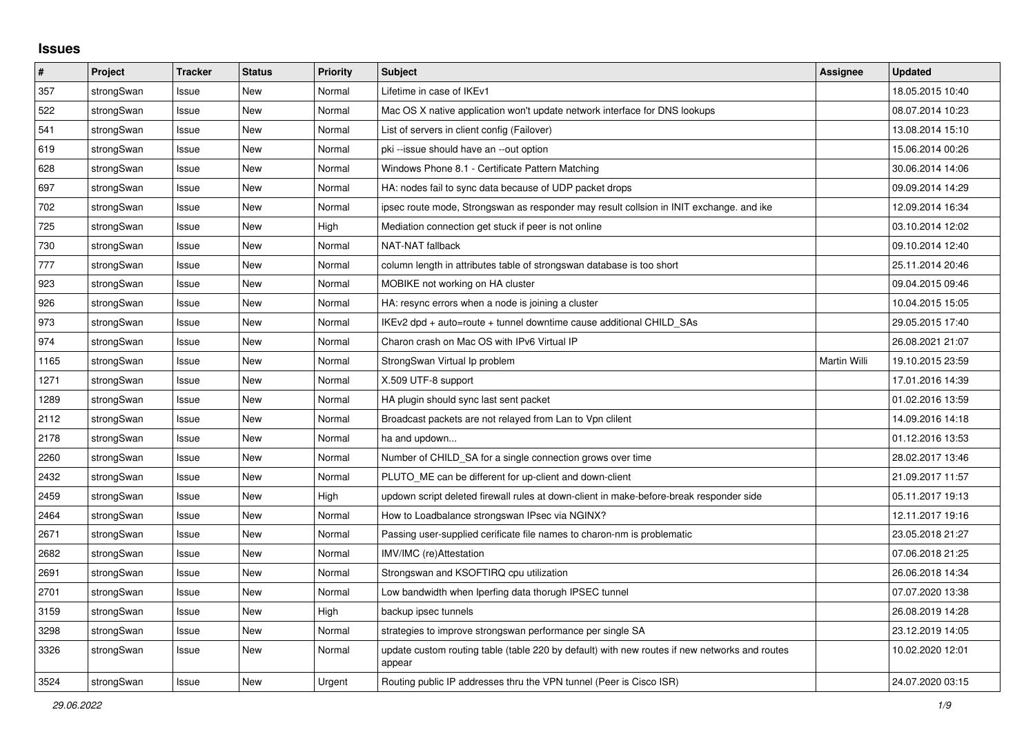## **Issues**

| #    | Project    | <b>Tracker</b> | <b>Status</b> | <b>Priority</b> | <b>Subject</b>                                                                                          | <b>Assignee</b> | <b>Updated</b>   |
|------|------------|----------------|---------------|-----------------|---------------------------------------------------------------------------------------------------------|-----------------|------------------|
| 357  | strongSwan | Issue          | New           | Normal          | Lifetime in case of IKEv1                                                                               |                 | 18.05.2015 10:40 |
| 522  | strongSwan | Issue          | <b>New</b>    | Normal          | Mac OS X native application won't update network interface for DNS lookups                              |                 | 08.07.2014 10:23 |
| 541  | strongSwan | Issue          | <b>New</b>    | Normal          | List of servers in client config (Failover)                                                             |                 | 13.08.2014 15:10 |
| 619  | strongSwan | Issue          | <b>New</b>    | Normal          | pki --issue should have an --out option                                                                 |                 | 15.06.2014 00:26 |
| 628  | strongSwan | Issue          | <b>New</b>    | Normal          | Windows Phone 8.1 - Certificate Pattern Matching                                                        |                 | 30.06.2014 14:06 |
| 697  | strongSwan | Issue          | New           | Normal          | HA: nodes fail to sync data because of UDP packet drops                                                 |                 | 09.09.2014 14:29 |
| 702  | strongSwan | Issue          | New           | Normal          | ipsec route mode, Strongswan as responder may result collsion in INIT exchange, and ike                 |                 | 12.09.2014 16:34 |
| 725  | strongSwan | Issue          | <b>New</b>    | High            | Mediation connection get stuck if peer is not online                                                    |                 | 03.10.2014 12:02 |
| 730  | strongSwan | Issue          | <b>New</b>    | Normal          | NAT-NAT fallback                                                                                        |                 | 09.10.2014 12:40 |
| 777  | strongSwan | Issue          | <b>New</b>    | Normal          | column length in attributes table of strongswan database is too short                                   |                 | 25.11.2014 20:46 |
| 923  | strongSwan | Issue          | New           | Normal          | MOBIKE not working on HA cluster                                                                        |                 | 09.04.2015 09:46 |
| 926  | strongSwan | Issue          | <b>New</b>    | Normal          | HA: resync errors when a node is joining a cluster                                                      |                 | 10.04.2015 15:05 |
| 973  | strongSwan | Issue          | <b>New</b>    | Normal          | IKEv2 dpd + auto=route + tunnel downtime cause additional CHILD SAs                                     |                 | 29.05.2015 17:40 |
| 974  | strongSwan | Issue          | New           | Normal          | Charon crash on Mac OS with IPv6 Virtual IP                                                             |                 | 26.08.2021 21:07 |
| 1165 | strongSwan | Issue          | <b>New</b>    | Normal          | StrongSwan Virtual Ip problem                                                                           | Martin Willi    | 19.10.2015 23:59 |
| 1271 | strongSwan | Issue          | New           | Normal          | X.509 UTF-8 support                                                                                     |                 | 17.01.2016 14:39 |
| 1289 | strongSwan | Issue          | New           | Normal          | HA plugin should sync last sent packet                                                                  |                 | 01.02.2016 13:59 |
| 2112 | strongSwan | Issue          | <b>New</b>    | Normal          | Broadcast packets are not relayed from Lan to Vpn clilent                                               |                 | 14.09.2016 14:18 |
| 2178 | strongSwan | Issue          | <b>New</b>    | Normal          | ha and updown                                                                                           |                 | 01.12.2016 13:53 |
| 2260 | strongSwan | Issue          | <b>New</b>    | Normal          | Number of CHILD SA for a single connection grows over time                                              |                 | 28.02.2017 13:46 |
| 2432 | strongSwan | Issue          | New           | Normal          | PLUTO ME can be different for up-client and down-client                                                 |                 | 21.09.2017 11:57 |
| 2459 | strongSwan | Issue          | New           | High            | updown script deleted firewall rules at down-client in make-before-break responder side                 |                 | 05.11.2017 19:13 |
| 2464 | strongSwan | Issue          | <b>New</b>    | Normal          | How to Loadbalance strongswan IPsec via NGINX?                                                          |                 | 12.11.2017 19:16 |
| 2671 | strongSwan | Issue          | <b>New</b>    | Normal          | Passing user-supplied cerificate file names to charon-nm is problematic                                 |                 | 23.05.2018 21:27 |
| 2682 | strongSwan | Issue          | <b>New</b>    | Normal          | IMV/IMC (re)Attestation                                                                                 |                 | 07.06.2018 21:25 |
| 2691 | strongSwan | Issue          | New           | Normal          | Strongswan and KSOFTIRQ cpu utilization                                                                 |                 | 26.06.2018 14:34 |
| 2701 | strongSwan | Issue          | New           | Normal          | Low bandwidth when Iperfing data thorugh IPSEC tunnel                                                   |                 | 07.07.2020 13:38 |
| 3159 | strongSwan | Issue          | <b>New</b>    | High            | backup ipsec tunnels                                                                                    |                 | 26.08.2019 14:28 |
| 3298 | strongSwan | Issue          | <b>New</b>    | Normal          | strategies to improve strongswan performance per single SA                                              |                 | 23.12.2019 14:05 |
| 3326 | strongSwan | Issue          | <b>New</b>    | Normal          | update custom routing table (table 220 by default) with new routes if new networks and routes<br>appear |                 | 10.02.2020 12:01 |
| 3524 | strongSwan | Issue          | New           | Urgent          | Routing public IP addresses thru the VPN tunnel (Peer is Cisco ISR)                                     |                 | 24.07.2020 03:15 |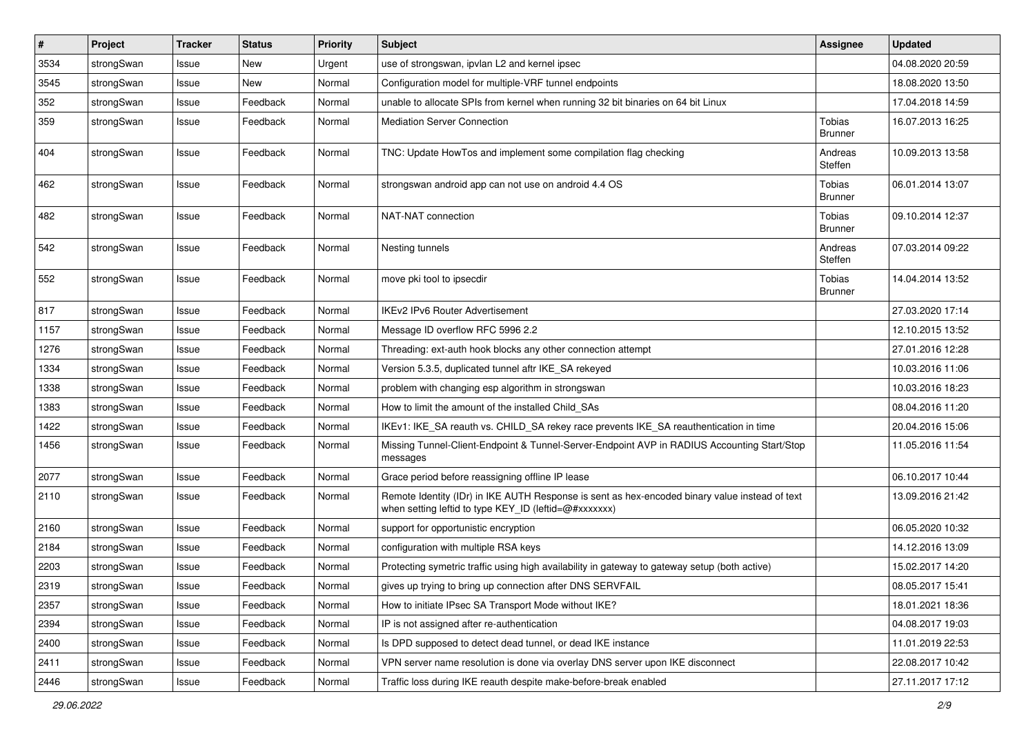| $\pmb{\#}$ | Project    | Tracker | <b>Status</b> | <b>Priority</b> | <b>Subject</b>                                                                                                                                          | <b>Assignee</b>                 | <b>Updated</b>   |
|------------|------------|---------|---------------|-----------------|---------------------------------------------------------------------------------------------------------------------------------------------------------|---------------------------------|------------------|
| 3534       | strongSwan | Issue   | <b>New</b>    | Urgent          | use of strongswan, ipvlan L2 and kernel ipsec                                                                                                           |                                 | 04.08.2020 20:59 |
| 3545       | strongSwan | Issue   | <b>New</b>    | Normal          | Configuration model for multiple-VRF tunnel endpoints                                                                                                   |                                 | 18.08.2020 13:50 |
| 352        | strongSwan | Issue   | Feedback      | Normal          | unable to allocate SPIs from kernel when running 32 bit binaries on 64 bit Linux                                                                        |                                 | 17.04.2018 14:59 |
| 359        | strongSwan | Issue   | Feedback      | Normal          | <b>Mediation Server Connection</b>                                                                                                                      | <b>Tobias</b><br><b>Brunner</b> | 16.07.2013 16:25 |
| 404        | strongSwan | Issue   | Feedback      | Normal          | TNC: Update HowTos and implement some compilation flag checking                                                                                         | Andreas<br>Steffen              | 10.09.2013 13:58 |
| 462        | strongSwan | Issue   | Feedback      | Normal          | strongswan android app can not use on android 4.4 OS                                                                                                    | Tobias<br><b>Brunner</b>        | 06.01.2014 13:07 |
| 482        | strongSwan | Issue   | Feedback      | Normal          | NAT-NAT connection                                                                                                                                      | Tobias<br><b>Brunner</b>        | 09.10.2014 12:37 |
| 542        | strongSwan | Issue   | Feedback      | Normal          | Nesting tunnels                                                                                                                                         | Andreas<br>Steffen              | 07.03.2014 09:22 |
| 552        | strongSwan | Issue   | Feedback      | Normal          | move pki tool to ipsecdir                                                                                                                               | Tobias<br><b>Brunner</b>        | 14.04.2014 13:52 |
| 817        | strongSwan | Issue   | Feedback      | Normal          | <b>IKEv2 IPv6 Router Advertisement</b>                                                                                                                  |                                 | 27.03.2020 17:14 |
| 1157       | strongSwan | Issue   | Feedback      | Normal          | Message ID overflow RFC 5996 2.2                                                                                                                        |                                 | 12.10.2015 13:52 |
| 1276       | strongSwan | Issue   | Feedback      | Normal          | Threading: ext-auth hook blocks any other connection attempt                                                                                            |                                 | 27.01.2016 12:28 |
| 1334       | strongSwan | Issue   | Feedback      | Normal          | Version 5.3.5, duplicated tunnel aftr IKE_SA rekeyed                                                                                                    |                                 | 10.03.2016 11:06 |
| 1338       | strongSwan | Issue   | Feedback      | Normal          | problem with changing esp algorithm in strongswan                                                                                                       |                                 | 10.03.2016 18:23 |
| 1383       | strongSwan | Issue   | Feedback      | Normal          | How to limit the amount of the installed Child_SAs                                                                                                      |                                 | 08.04.2016 11:20 |
| 1422       | strongSwan | Issue   | Feedback      | Normal          | IKEv1: IKE_SA reauth vs. CHILD_SA rekey race prevents IKE_SA reauthentication in time                                                                   |                                 | 20.04.2016 15:06 |
| 1456       | strongSwan | Issue   | Feedback      | Normal          | Missing Tunnel-Client-Endpoint & Tunnel-Server-Endpoint AVP in RADIUS Accounting Start/Stop<br>messages                                                 |                                 | 11.05.2016 11:54 |
| 2077       | strongSwan | Issue   | Feedback      | Normal          | Grace period before reassigning offline IP lease                                                                                                        |                                 | 06.10.2017 10:44 |
| 2110       | strongSwan | Issue   | Feedback      | Normal          | Remote Identity (IDr) in IKE AUTH Response is sent as hex-encoded binary value instead of text<br>when setting leftid to type KEY_ID (leftid=@#xxxxxxx) |                                 | 13.09.2016 21:42 |
| 2160       | strongSwan | Issue   | Feedback      | Normal          | support for opportunistic encryption                                                                                                                    |                                 | 06.05.2020 10:32 |
| 2184       | strongSwan | Issue   | Feedback      | Normal          | configuration with multiple RSA keys                                                                                                                    |                                 | 14.12.2016 13:09 |
| 2203       | strongSwan | Issue   | Feedback      | Normal          | Protecting symetric traffic using high availability in gateway to gateway setup (both active)                                                           |                                 | 15.02.2017 14:20 |
| 2319       | strongSwan | Issue   | Feedback      | Normal          | gives up trying to bring up connection after DNS SERVFAIL                                                                                               |                                 | 08.05.2017 15:41 |
| 2357       | strongSwan | Issue   | Feedback      | Normal          | How to initiate IPsec SA Transport Mode without IKE?                                                                                                    |                                 | 18.01.2021 18:36 |
| 2394       | strongSwan | Issue   | Feedback      | Normal          | IP is not assigned after re-authentication                                                                                                              |                                 | 04.08.2017 19:03 |
| 2400       | strongSwan | Issue   | Feedback      | Normal          | Is DPD supposed to detect dead tunnel, or dead IKE instance                                                                                             |                                 | 11.01.2019 22:53 |
| 2411       | strongSwan | Issue   | Feedback      | Normal          | VPN server name resolution is done via overlay DNS server upon IKE disconnect                                                                           |                                 | 22.08.2017 10:42 |
| 2446       | strongSwan | Issue   | Feedback      | Normal          | Traffic loss during IKE reauth despite make-before-break enabled                                                                                        |                                 | 27.11.2017 17:12 |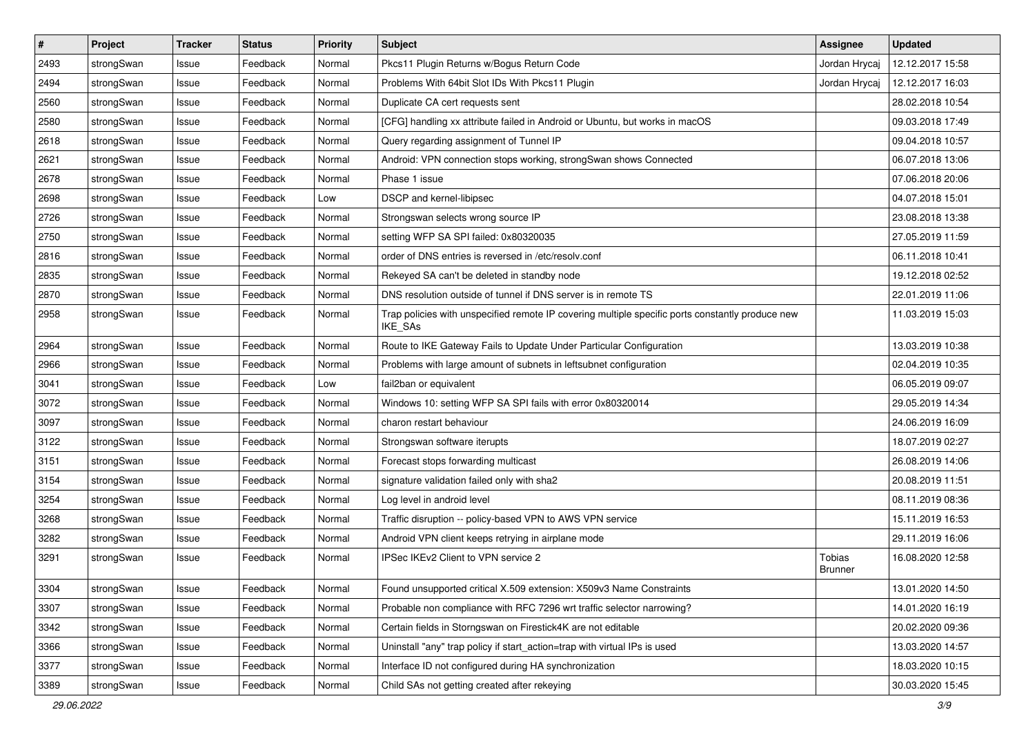| $\sharp$ | Project    | <b>Tracker</b> | <b>Status</b> | <b>Priority</b> | <b>Subject</b>                                                                                              | <b>Assignee</b>          | <b>Updated</b>   |
|----------|------------|----------------|---------------|-----------------|-------------------------------------------------------------------------------------------------------------|--------------------------|------------------|
| 2493     | strongSwan | Issue          | Feedback      | Normal          | Pkcs11 Plugin Returns w/Bogus Return Code                                                                   | Jordan Hrycaj            | 12.12.2017 15:58 |
| 2494     | strongSwan | Issue          | Feedback      | Normal          | Problems With 64bit Slot IDs With Pkcs11 Plugin                                                             | Jordan Hrycaj            | 12.12.2017 16:03 |
| 2560     | strongSwan | Issue          | Feedback      | Normal          | Duplicate CA cert requests sent                                                                             |                          | 28.02.2018 10:54 |
| 2580     | strongSwan | Issue          | Feedback      | Normal          | [CFG] handling xx attribute failed in Android or Ubuntu, but works in macOS                                 |                          | 09.03.2018 17:49 |
| 2618     | strongSwan | Issue          | Feedback      | Normal          | Query regarding assignment of Tunnel IP                                                                     |                          | 09.04.2018 10:57 |
| 2621     | strongSwan | Issue          | Feedback      | Normal          | Android: VPN connection stops working, strongSwan shows Connected                                           |                          | 06.07.2018 13:06 |
| 2678     | strongSwan | Issue          | Feedback      | Normal          | Phase 1 issue                                                                                               |                          | 07.06.2018 20:06 |
| 2698     | strongSwan | Issue          | Feedback      | Low             | DSCP and kernel-libipsec                                                                                    |                          | 04.07.2018 15:01 |
| 2726     | strongSwan | Issue          | Feedback      | Normal          | Strongswan selects wrong source IP                                                                          |                          | 23.08.2018 13:38 |
| 2750     | strongSwan | Issue          | Feedback      | Normal          | setting WFP SA SPI failed: 0x80320035                                                                       |                          | 27.05.2019 11:59 |
| 2816     | strongSwan | Issue          | Feedback      | Normal          | order of DNS entries is reversed in /etc/resolv.conf                                                        |                          | 06.11.2018 10:41 |
| 2835     | strongSwan | Issue          | Feedback      | Normal          | Rekeyed SA can't be deleted in standby node                                                                 |                          | 19.12.2018 02:52 |
| 2870     | strongSwan | Issue          | Feedback      | Normal          | DNS resolution outside of tunnel if DNS server is in remote TS                                              |                          | 22.01.2019 11:06 |
| 2958     | strongSwan | Issue          | Feedback      | Normal          | Trap policies with unspecified remote IP covering multiple specific ports constantly produce new<br>IKE_SAs |                          | 11.03.2019 15:03 |
| 2964     | strongSwan | Issue          | Feedback      | Normal          | Route to IKE Gateway Fails to Update Under Particular Configuration                                         |                          | 13.03.2019 10:38 |
| 2966     | strongSwan | Issue          | Feedback      | Normal          | Problems with large amount of subnets in leftsubnet configuration                                           |                          | 02.04.2019 10:35 |
| 3041     | strongSwan | Issue          | Feedback      | Low             | fail2ban or equivalent                                                                                      |                          | 06.05.2019 09:07 |
| 3072     | strongSwan | Issue          | Feedback      | Normal          | Windows 10: setting WFP SA SPI fails with error 0x80320014                                                  |                          | 29.05.2019 14:34 |
| 3097     | strongSwan | Issue          | Feedback      | Normal          | charon restart behaviour                                                                                    |                          | 24.06.2019 16:09 |
| 3122     | strongSwan | Issue          | Feedback      | Normal          | Strongswan software iterupts                                                                                |                          | 18.07.2019 02:27 |
| 3151     | strongSwan | Issue          | Feedback      | Normal          | Forecast stops forwarding multicast                                                                         |                          | 26.08.2019 14:06 |
| 3154     | strongSwan | Issue          | Feedback      | Normal          | signature validation failed only with sha2                                                                  |                          | 20.08.2019 11:51 |
| 3254     | strongSwan | Issue          | Feedback      | Normal          | Log level in android level                                                                                  |                          | 08.11.2019 08:36 |
| 3268     | strongSwan | Issue          | Feedback      | Normal          | Traffic disruption -- policy-based VPN to AWS VPN service                                                   |                          | 15.11.2019 16:53 |
| 3282     | strongSwan | Issue          | Feedback      | Normal          | Android VPN client keeps retrying in airplane mode                                                          |                          | 29.11.2019 16:06 |
| 3291     | strongSwan | Issue          | Feedback      | Normal          | IPSec IKEv2 Client to VPN service 2                                                                         | Tobias<br><b>Brunner</b> | 16.08.2020 12:58 |
| 3304     | strongSwan | Issue          | Feedback      | Normal          | Found unsupported critical X.509 extension: X509v3 Name Constraints                                         |                          | 13.01.2020 14:50 |
| 3307     | strongSwan | Issue          | Feedback      | Normal          | Probable non compliance with RFC 7296 wrt traffic selector narrowing?                                       |                          | 14.01.2020 16:19 |
| 3342     | strongSwan | Issue          | Feedback      | Normal          | Certain fields in Storngswan on Firestick4K are not editable                                                |                          | 20.02.2020 09:36 |
| 3366     | strongSwan | Issue          | Feedback      | Normal          | Uninstall "any" trap policy if start_action=trap with virtual IPs is used                                   |                          | 13.03.2020 14:57 |
| 3377     | strongSwan | Issue          | Feedback      | Normal          | Interface ID not configured during HA synchronization                                                       |                          | 18.03.2020 10:15 |
| 3389     | strongSwan | Issue          | Feedback      | Normal          | Child SAs not getting created after rekeying                                                                |                          | 30.03.2020 15:45 |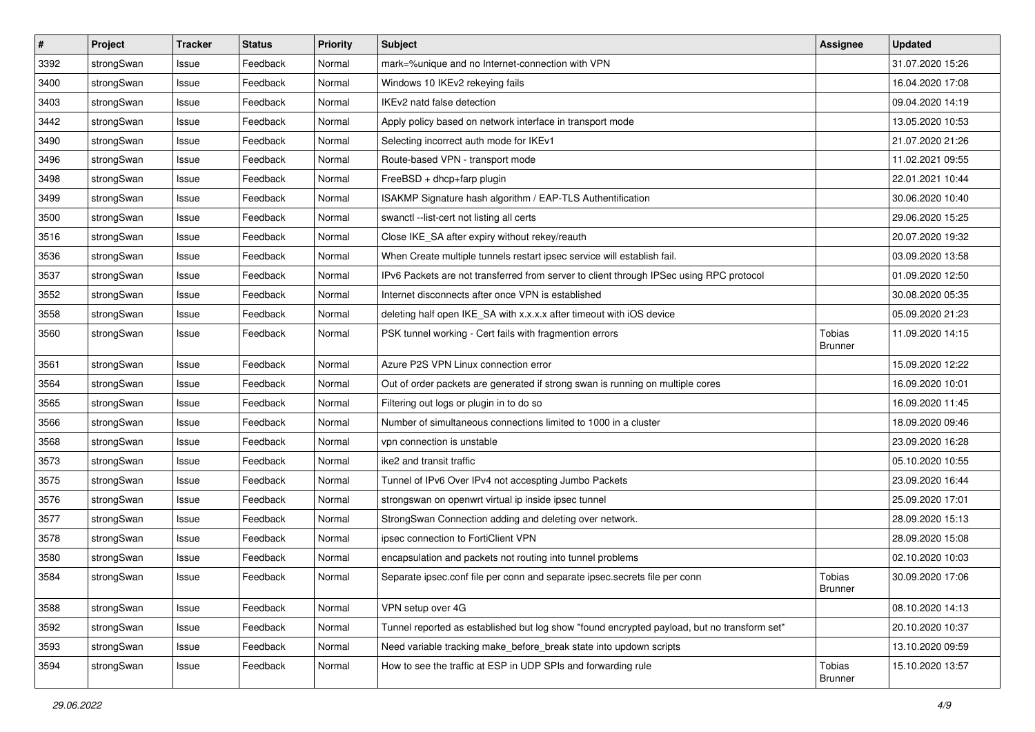| #    | Project    | <b>Tracker</b> | <b>Status</b> | <b>Priority</b> | <b>Subject</b>                                                                              | Assignee                 | <b>Updated</b>   |
|------|------------|----------------|---------------|-----------------|---------------------------------------------------------------------------------------------|--------------------------|------------------|
| 3392 | strongSwan | Issue          | Feedback      | Normal          | mark=%unique and no Internet-connection with VPN                                            |                          | 31.07.2020 15:26 |
| 3400 | strongSwan | Issue          | Feedback      | Normal          | Windows 10 IKEv2 rekeying fails                                                             |                          | 16.04.2020 17:08 |
| 3403 | strongSwan | Issue          | Feedback      | Normal          | IKEv2 natd false detection                                                                  |                          | 09.04.2020 14:19 |
| 3442 | strongSwan | Issue          | Feedback      | Normal          | Apply policy based on network interface in transport mode                                   |                          | 13.05.2020 10:53 |
| 3490 | strongSwan | Issue          | Feedback      | Normal          | Selecting incorrect auth mode for IKEv1                                                     |                          | 21.07.2020 21:26 |
| 3496 | strongSwan | Issue          | Feedback      | Normal          | Route-based VPN - transport mode                                                            |                          | 11.02.2021 09:55 |
| 3498 | strongSwan | Issue          | Feedback      | Normal          | FreeBSD + dhcp+farp plugin                                                                  |                          | 22.01.2021 10:44 |
| 3499 | strongSwan | Issue          | Feedback      | Normal          | ISAKMP Signature hash algorithm / EAP-TLS Authentification                                  |                          | 30.06.2020 10:40 |
| 3500 | strongSwan | Issue          | Feedback      | Normal          | swanctl --list-cert not listing all certs                                                   |                          | 29.06.2020 15:25 |
| 3516 | strongSwan | Issue          | Feedback      | Normal          | Close IKE_SA after expiry without rekey/reauth                                              |                          | 20.07.2020 19:32 |
| 3536 | strongSwan | Issue          | Feedback      | Normal          | When Create multiple tunnels restart ipsec service will establish fail.                     |                          | 03.09.2020 13:58 |
| 3537 | strongSwan | Issue          | Feedback      | Normal          | IPv6 Packets are not transferred from server to client through IPSec using RPC protocol     |                          | 01.09.2020 12:50 |
| 3552 | strongSwan | Issue          | Feedback      | Normal          | Internet disconnects after once VPN is established                                          |                          | 30.08.2020 05:35 |
| 3558 | strongSwan | Issue          | Feedback      | Normal          | deleting half open IKE_SA with x.x.x.x after timeout with iOS device                        |                          | 05.09.2020 21:23 |
| 3560 | strongSwan | Issue          | Feedback      | Normal          | PSK tunnel working - Cert fails with fragmention errors                                     | Tobias<br><b>Brunner</b> | 11.09.2020 14:15 |
| 3561 | strongSwan | Issue          | Feedback      | Normal          | Azure P2S VPN Linux connection error                                                        |                          | 15.09.2020 12:22 |
| 3564 | strongSwan | Issue          | Feedback      | Normal          | Out of order packets are generated if strong swan is running on multiple cores              |                          | 16.09.2020 10:01 |
| 3565 | strongSwan | Issue          | Feedback      | Normal          | Filtering out logs or plugin in to do so                                                    |                          | 16.09.2020 11:45 |
| 3566 | strongSwan | Issue          | Feedback      | Normal          | Number of simultaneous connections limited to 1000 in a cluster                             |                          | 18.09.2020 09:46 |
| 3568 | strongSwan | Issue          | Feedback      | Normal          | vpn connection is unstable                                                                  |                          | 23.09.2020 16:28 |
| 3573 | strongSwan | Issue          | Feedback      | Normal          | ike2 and transit traffic                                                                    |                          | 05.10.2020 10:55 |
| 3575 | strongSwan | Issue          | Feedback      | Normal          | Tunnel of IPv6 Over IPv4 not accespting Jumbo Packets                                       |                          | 23.09.2020 16:44 |
| 3576 | strongSwan | Issue          | Feedback      | Normal          | strongswan on openwrt virtual ip inside ipsec tunnel                                        |                          | 25.09.2020 17:01 |
| 3577 | strongSwan | Issue          | Feedback      | Normal          | StrongSwan Connection adding and deleting over network.                                     |                          | 28.09.2020 15:13 |
| 3578 | strongSwan | Issue          | Feedback      | Normal          | ipsec connection to FortiClient VPN                                                         |                          | 28.09.2020 15:08 |
| 3580 | strongSwan | Issue          | Feedback      | Normal          | encapsulation and packets not routing into tunnel problems                                  |                          | 02.10.2020 10:03 |
| 3584 | strongSwan | Issue          | Feedback      | Normal          | Separate ipsec.conf file per conn and separate ipsec.secrets file per conn                  | Tobias<br>Brunner        | 30.09.2020 17:06 |
| 3588 | strongSwan | Issue          | Feedback      | Normal          | VPN setup over 4G                                                                           |                          | 08.10.2020 14:13 |
| 3592 | strongSwan | Issue          | Feedback      | Normal          | Tunnel reported as established but log show "found encrypted payload, but no transform set" |                          | 20.10.2020 10:37 |
| 3593 | strongSwan | Issue          | Feedback      | Normal          | Need variable tracking make_before_break state into updown scripts                          |                          | 13.10.2020 09:59 |
| 3594 | strongSwan | Issue          | Feedback      | Normal          | How to see the traffic at ESP in UDP SPIs and forwarding rule                               | Tobias<br>Brunner        | 15.10.2020 13:57 |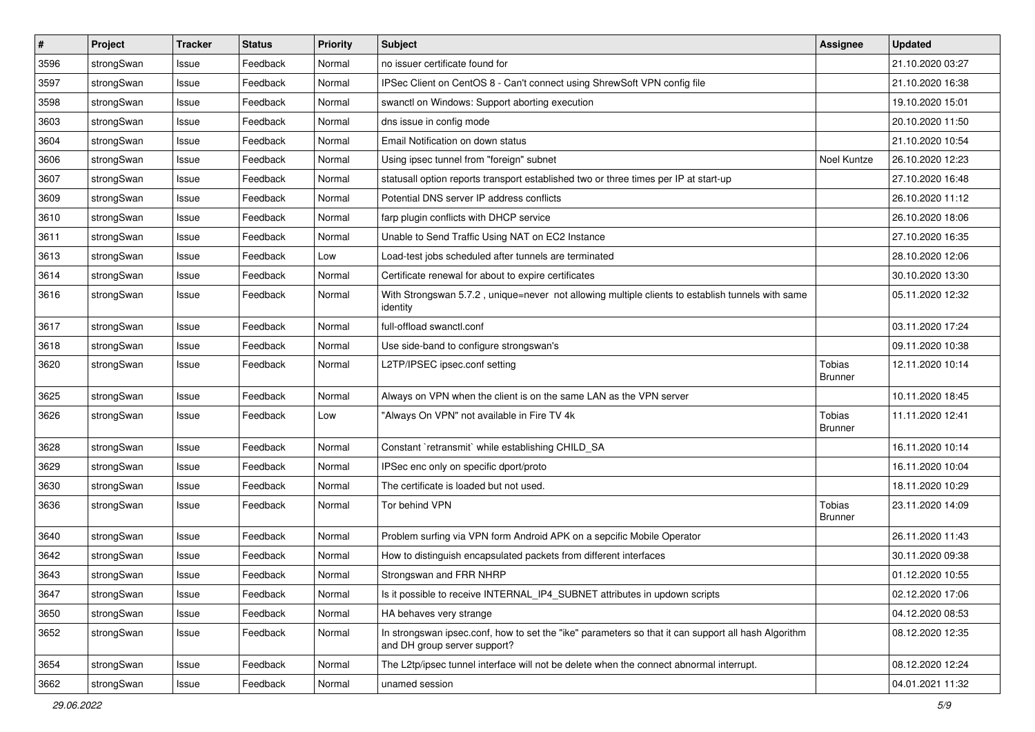| $\sharp$ | Project    | <b>Tracker</b> | <b>Status</b> | <b>Priority</b> | <b>Subject</b>                                                                                                                      | Assignee                 | <b>Updated</b>   |
|----------|------------|----------------|---------------|-----------------|-------------------------------------------------------------------------------------------------------------------------------------|--------------------------|------------------|
| 3596     | strongSwan | Issue          | Feedback      | Normal          | no issuer certificate found for                                                                                                     |                          | 21.10.2020 03:27 |
| 3597     | strongSwan | Issue          | Feedback      | Normal          | IPSec Client on CentOS 8 - Can't connect using ShrewSoft VPN config file                                                            |                          | 21.10.2020 16:38 |
| 3598     | strongSwan | Issue          | Feedback      | Normal          | swanctl on Windows: Support aborting execution                                                                                      |                          | 19.10.2020 15:01 |
| 3603     | strongSwan | Issue          | Feedback      | Normal          | dns issue in config mode                                                                                                            |                          | 20.10.2020 11:50 |
| 3604     | strongSwan | Issue          | Feedback      | Normal          | Email Notification on down status                                                                                                   |                          | 21.10.2020 10:54 |
| 3606     | strongSwan | Issue          | Feedback      | Normal          | Using ipsec tunnel from "foreign" subnet                                                                                            | Noel Kuntze              | 26.10.2020 12:23 |
| 3607     | strongSwan | Issue          | Feedback      | Normal          | statusall option reports transport established two or three times per IP at start-up                                                |                          | 27.10.2020 16:48 |
| 3609     | strongSwan | Issue          | Feedback      | Normal          | Potential DNS server IP address conflicts                                                                                           |                          | 26.10.2020 11:12 |
| 3610     | strongSwan | Issue          | Feedback      | Normal          | farp plugin conflicts with DHCP service                                                                                             |                          | 26.10.2020 18:06 |
| 3611     | strongSwan | Issue          | Feedback      | Normal          | Unable to Send Traffic Using NAT on EC2 Instance                                                                                    |                          | 27.10.2020 16:35 |
| 3613     | strongSwan | Issue          | Feedback      | Low             | Load-test jobs scheduled after tunnels are terminated                                                                               |                          | 28.10.2020 12:06 |
| 3614     | strongSwan | Issue          | Feedback      | Normal          | Certificate renewal for about to expire certificates                                                                                |                          | 30.10.2020 13:30 |
| 3616     | strongSwan | Issue          | Feedback      | Normal          | With Strongswan 5.7.2, unique=never not allowing multiple clients to establish tunnels with same<br>identity                        |                          | 05.11.2020 12:32 |
| 3617     | strongSwan | Issue          | Feedback      | Normal          | full-offload swanctl.conf                                                                                                           |                          | 03.11.2020 17:24 |
| 3618     | strongSwan | Issue          | Feedback      | Normal          | Use side-band to configure strongswan's                                                                                             |                          | 09.11.2020 10:38 |
| 3620     | strongSwan | Issue          | Feedback      | Normal          | L2TP/IPSEC ipsec.conf setting                                                                                                       | Tobias<br>Brunner        | 12.11.2020 10:14 |
| 3625     | strongSwan | Issue          | Feedback      | Normal          | Always on VPN when the client is on the same LAN as the VPN server                                                                  |                          | 10.11.2020 18:45 |
| 3626     | strongSwan | Issue          | Feedback      | Low             | "Always On VPN" not available in Fire TV 4k                                                                                         | Tobias<br><b>Brunner</b> | 11.11.2020 12:41 |
| 3628     | strongSwan | Issue          | Feedback      | Normal          | Constant `retransmit` while establishing CHILD_SA                                                                                   |                          | 16.11.2020 10:14 |
| 3629     | strongSwan | Issue          | Feedback      | Normal          | IPSec enc only on specific dport/proto                                                                                              |                          | 16.11.2020 10:04 |
| 3630     | strongSwan | Issue          | Feedback      | Normal          | The certificate is loaded but not used.                                                                                             |                          | 18.11.2020 10:29 |
| 3636     | strongSwan | Issue          | Feedback      | Normal          | Tor behind VPN                                                                                                                      | Tobias<br><b>Brunner</b> | 23.11.2020 14:09 |
| 3640     | strongSwan | Issue          | Feedback      | Normal          | Problem surfing via VPN form Android APK on a sepcific Mobile Operator                                                              |                          | 26.11.2020 11:43 |
| 3642     | strongSwan | Issue          | Feedback      | Normal          | How to distinguish encapsulated packets from different interfaces                                                                   |                          | 30.11.2020 09:38 |
| 3643     | strongSwan | Issue          | Feedback      | Normal          | Strongswan and FRR NHRP                                                                                                             |                          | 01.12.2020 10:55 |
| 3647     | strongSwan | Issue          | Feedback      | Normal          | Is it possible to receive INTERNAL IP4 SUBNET attributes in updown scripts                                                          |                          | 02.12.2020 17:06 |
| 3650     | strongSwan | Issue          | Feedback      | Normal          | HA behaves very strange                                                                                                             |                          | 04.12.2020 08:53 |
| 3652     | strongSwan | Issue          | Feedback      | Normal          | In strongswan ipsec.conf, how to set the "ike" parameters so that it can support all hash Algorithm<br>and DH group server support? |                          | 08.12.2020 12:35 |
| 3654     | strongSwan | Issue          | Feedback      | Normal          | The L2tp/ipsec tunnel interface will not be delete when the connect abnormal interrupt.                                             |                          | 08.12.2020 12:24 |
| 3662     | strongSwan | Issue          | Feedback      | Normal          | unamed session                                                                                                                      |                          | 04.01.2021 11:32 |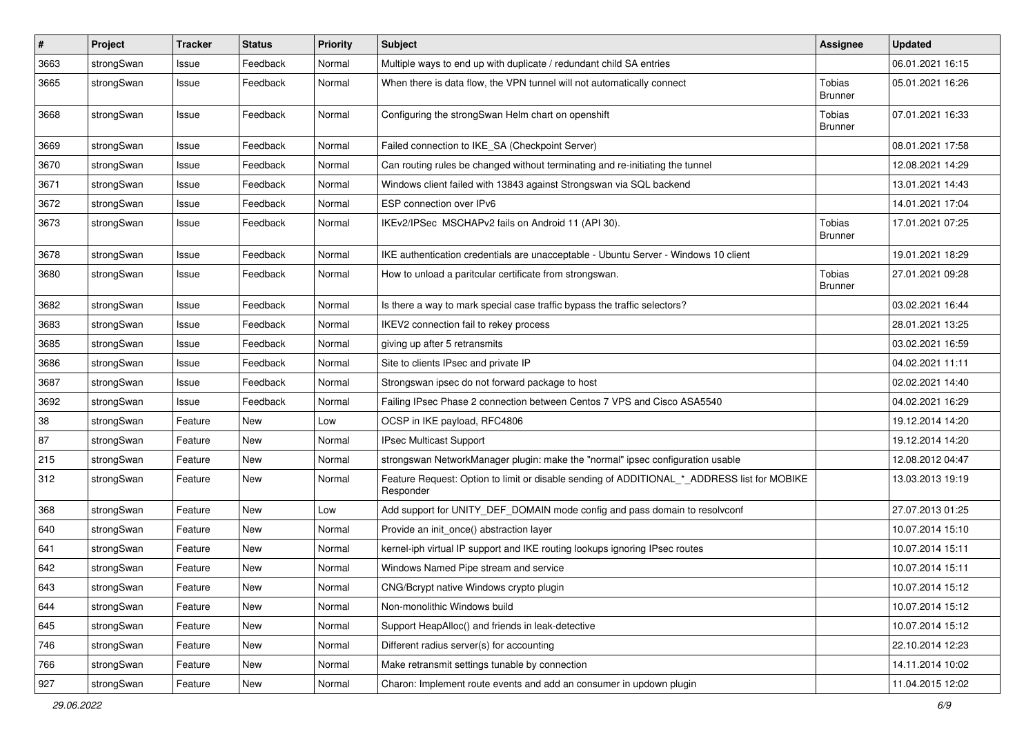| $\vert$ # | Project    | <b>Tracker</b> | <b>Status</b> | <b>Priority</b> | <b>Subject</b>                                                                                           | <b>Assignee</b>                 | <b>Updated</b>   |
|-----------|------------|----------------|---------------|-----------------|----------------------------------------------------------------------------------------------------------|---------------------------------|------------------|
| 3663      | strongSwan | Issue          | Feedback      | Normal          | Multiple ways to end up with duplicate / redundant child SA entries                                      |                                 | 06.01.2021 16:15 |
| 3665      | strongSwan | Issue          | Feedback      | Normal          | When there is data flow, the VPN tunnel will not automatically connect                                   | Tobias<br><b>Brunner</b>        | 05.01.2021 16:26 |
| 3668      | strongSwan | Issue          | Feedback      | Normal          | Configuring the strongSwan Helm chart on openshift                                                       | <b>Tobias</b><br><b>Brunner</b> | 07.01.2021 16:33 |
| 3669      | strongSwan | Issue          | Feedback      | Normal          | Failed connection to IKE SA (Checkpoint Server)                                                          |                                 | 08.01.2021 17:58 |
| 3670      | strongSwan | Issue          | Feedback      | Normal          | Can routing rules be changed without terminating and re-initiating the tunnel                            |                                 | 12.08.2021 14:29 |
| 3671      | strongSwan | Issue          | Feedback      | Normal          | Windows client failed with 13843 against Strongswan via SQL backend                                      |                                 | 13.01.2021 14:43 |
| 3672      | strongSwan | Issue          | Feedback      | Normal          | ESP connection over IPv6                                                                                 |                                 | 14.01.2021 17:04 |
| 3673      | strongSwan | Issue          | Feedback      | Normal          | IKEv2/IPSec MSCHAPv2 fails on Android 11 (API 30).                                                       | <b>Tobias</b><br>Brunner        | 17.01.2021 07:25 |
| 3678      | strongSwan | Issue          | Feedback      | Normal          | IKE authentication credentials are unacceptable - Ubuntu Server - Windows 10 client                      |                                 | 19.01.2021 18:29 |
| 3680      | strongSwan | Issue          | Feedback      | Normal          | How to unload a paritcular certificate from strongswan.                                                  | <b>Tobias</b><br><b>Brunner</b> | 27.01.2021 09:28 |
| 3682      | strongSwan | Issue          | Feedback      | Normal          | Is there a way to mark special case traffic bypass the traffic selectors?                                |                                 | 03.02.2021 16:44 |
| 3683      | strongSwan | Issue          | Feedback      | Normal          | IKEV2 connection fail to rekey process                                                                   |                                 | 28.01.2021 13:25 |
| 3685      | strongSwan | Issue          | Feedback      | Normal          | giving up after 5 retransmits                                                                            |                                 | 03.02.2021 16:59 |
| 3686      | strongSwan | Issue          | Feedback      | Normal          | Site to clients IPsec and private IP                                                                     |                                 | 04.02.2021 11:11 |
| 3687      | strongSwan | Issue          | Feedback      | Normal          | Strongswan ipsec do not forward package to host                                                          |                                 | 02.02.2021 14:40 |
| 3692      | strongSwan | Issue          | Feedback      | Normal          | Failing IPsec Phase 2 connection between Centos 7 VPS and Cisco ASA5540                                  |                                 | 04.02.2021 16:29 |
| 38        | strongSwan | Feature        | New           | Low             | OCSP in IKE payload, RFC4806                                                                             |                                 | 19.12.2014 14:20 |
| 87        | strongSwan | Feature        | New           | Normal          | IPsec Multicast Support                                                                                  |                                 | 19.12.2014 14:20 |
| 215       | strongSwan | Feature        | New           | Normal          | strongswan NetworkManager plugin: make the "normal" ipsec configuration usable                           |                                 | 12.08.2012 04:47 |
| 312       | strongSwan | Feature        | New           | Normal          | Feature Request: Option to limit or disable sending of ADDITIONAL_*_ADDRESS list for MOBIKE<br>Responder |                                 | 13.03.2013 19:19 |
| 368       | strongSwan | Feature        | New           | Low             | Add support for UNITY_DEF_DOMAIN mode config and pass domain to resolvconf                               |                                 | 27.07.2013 01:25 |
| 640       | strongSwan | Feature        | New           | Normal          | Provide an init once() abstraction layer                                                                 |                                 | 10.07.2014 15:10 |
| 641       | strongSwan | Feature        | New           | Normal          | kernel-iph virtual IP support and IKE routing lookups ignoring IPsec routes                              |                                 | 10.07.2014 15:11 |
| 642       | strongSwan | Feature        | New           | Normal          | Windows Named Pipe stream and service                                                                    |                                 | 10.07.2014 15:11 |
| 643       | strongSwan | Feature        | New           | Normal          | CNG/Bcrypt native Windows crypto plugin                                                                  |                                 | 10.07.2014 15:12 |
| 644       | strongSwan | Feature        | New           | Normal          | Non-monolithic Windows build                                                                             |                                 | 10.07.2014 15:12 |
| 645       | strongSwan | Feature        | New           | Normal          | Support HeapAlloc() and friends in leak-detective                                                        |                                 | 10.07.2014 15:12 |
| 746       | strongSwan | Feature        | New           | Normal          | Different radius server(s) for accounting                                                                |                                 | 22.10.2014 12:23 |
| 766       | strongSwan | Feature        | New           | Normal          | Make retransmit settings tunable by connection                                                           |                                 | 14.11.2014 10:02 |
| 927       | strongSwan | Feature        | New           | Normal          | Charon: Implement route events and add an consumer in updown plugin                                      |                                 | 11.04.2015 12:02 |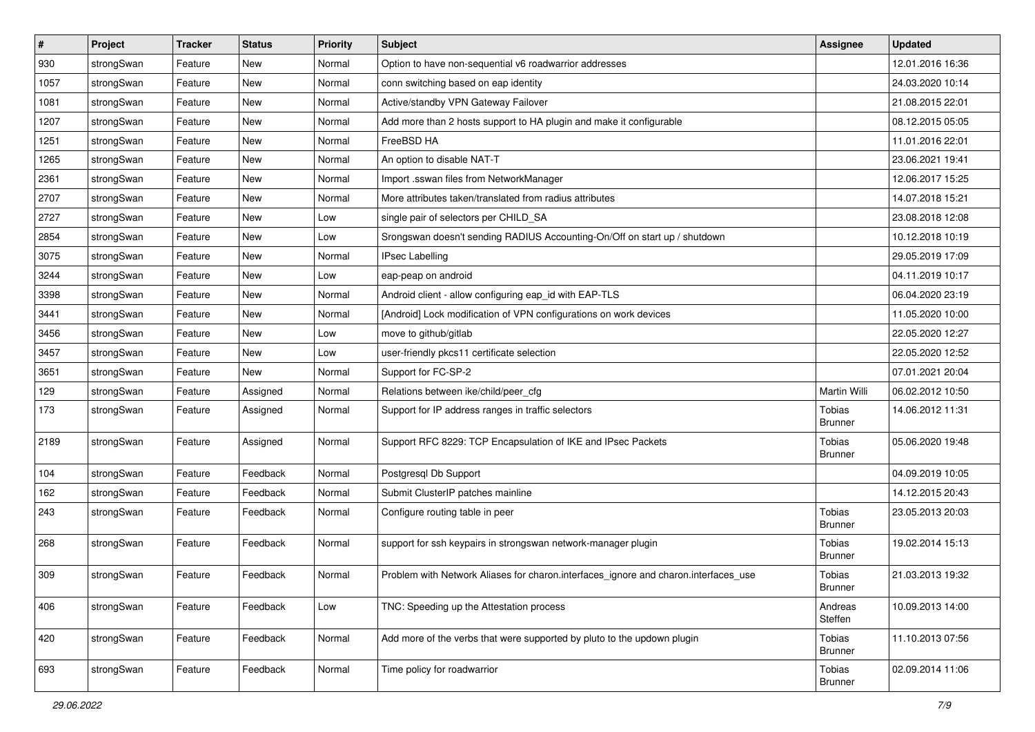| $\sharp$ | Project    | <b>Tracker</b> | <b>Status</b> | <b>Priority</b> | <b>Subject</b>                                                                      | <b>Assignee</b>                 | <b>Updated</b>   |
|----------|------------|----------------|---------------|-----------------|-------------------------------------------------------------------------------------|---------------------------------|------------------|
| 930      | strongSwan | Feature        | New           | Normal          | Option to have non-sequential v6 roadwarrior addresses                              |                                 | 12.01.2016 16:36 |
| 1057     | strongSwan | Feature        | New           | Normal          | conn switching based on eap identity                                                |                                 | 24.03.2020 10:14 |
| 1081     | strongSwan | Feature        | <b>New</b>    | Normal          | Active/standby VPN Gateway Failover                                                 |                                 | 21.08.2015 22:01 |
| 1207     | strongSwan | Feature        | New           | Normal          | Add more than 2 hosts support to HA plugin and make it configurable                 |                                 | 08.12.2015 05:05 |
| 1251     | strongSwan | Feature        | <b>New</b>    | Normal          | FreeBSD HA                                                                          |                                 | 11.01.2016 22:01 |
| 1265     | strongSwan | Feature        | New           | Normal          | An option to disable NAT-T                                                          |                                 | 23.06.2021 19:41 |
| 2361     | strongSwan | Feature        | New           | Normal          | Import .sswan files from NetworkManager                                             |                                 | 12.06.2017 15:25 |
| 2707     | strongSwan | Feature        | <b>New</b>    | Normal          | More attributes taken/translated from radius attributes                             |                                 | 14.07.2018 15:21 |
| 2727     | strongSwan | Feature        | <b>New</b>    | Low             | single pair of selectors per CHILD_SA                                               |                                 | 23.08.2018 12:08 |
| 2854     | strongSwan | Feature        | <b>New</b>    | Low             | Srongswan doesn't sending RADIUS Accounting-On/Off on start up / shutdown           |                                 | 10.12.2018 10:19 |
| 3075     | strongSwan | Feature        | New           | Normal          | <b>IPsec Labelling</b>                                                              |                                 | 29.05.2019 17:09 |
| 3244     | strongSwan | Feature        | New           | Low             | eap-peap on android                                                                 |                                 | 04.11.2019 10:17 |
| 3398     | strongSwan | Feature        | New           | Normal          | Android client - allow configuring eap_id with EAP-TLS                              |                                 | 06.04.2020 23:19 |
| 3441     | strongSwan | Feature        | <b>New</b>    | Normal          | [Android] Lock modification of VPN configurations on work devices                   |                                 | 11.05.2020 10:00 |
| 3456     | strongSwan | Feature        | <b>New</b>    | Low             | move to github/gitlab                                                               |                                 | 22.05.2020 12:27 |
| 3457     | strongSwan | Feature        | New           | Low             | user-friendly pkcs11 certificate selection                                          |                                 | 22.05.2020 12:52 |
| 3651     | strongSwan | Feature        | <b>New</b>    | Normal          | Support for FC-SP-2                                                                 |                                 | 07.01.2021 20:04 |
| 129      | strongSwan | Feature        | Assigned      | Normal          | Relations between ike/child/peer_cfg                                                | <b>Martin Willi</b>             | 06.02.2012 10:50 |
| 173      | strongSwan | Feature        | Assigned      | Normal          | Support for IP address ranges in traffic selectors                                  | <b>Tobias</b><br><b>Brunner</b> | 14.06.2012 11:31 |
| 2189     | strongSwan | Feature        | Assigned      | Normal          | Support RFC 8229: TCP Encapsulation of IKE and IPsec Packets                        | <b>Tobias</b><br><b>Brunner</b> | 05.06.2020 19:48 |
| 104      | strongSwan | Feature        | Feedback      | Normal          | Postgresql Db Support                                                               |                                 | 04.09.2019 10:05 |
| 162      | strongSwan | Feature        | Feedback      | Normal          | Submit ClusterIP patches mainline                                                   |                                 | 14.12.2015 20:43 |
| 243      | strongSwan | Feature        | Feedback      | Normal          | Configure routing table in peer                                                     | Tobias<br><b>Brunner</b>        | 23.05.2013 20:03 |
| 268      | strongSwan | Feature        | Feedback      | Normal          | support for ssh keypairs in strongswan network-manager plugin                       | Tobias<br><b>Brunner</b>        | 19.02.2014 15:13 |
| 309      | strongSwan | Feature        | Feedback      | Normal          | Problem with Network Aliases for charon.interfaces_ignore and charon.interfaces_use | Tobias<br><b>Brunner</b>        | 21.03.2013 19:32 |
| 406      | strongSwan | Feature        | Feedback      | Low             | TNC: Speeding up the Attestation process                                            | Andreas<br>Steffen              | 10.09.2013 14:00 |
| 420      | strongSwan | Feature        | Feedback      | Normal          | Add more of the verbs that were supported by pluto to the updown plugin             | Tobias<br><b>Brunner</b>        | 11.10.2013 07:56 |
| 693      | strongSwan | Feature        | Feedback      | Normal          | Time policy for roadwarrior                                                         | Tobias<br><b>Brunner</b>        | 02.09.2014 11:06 |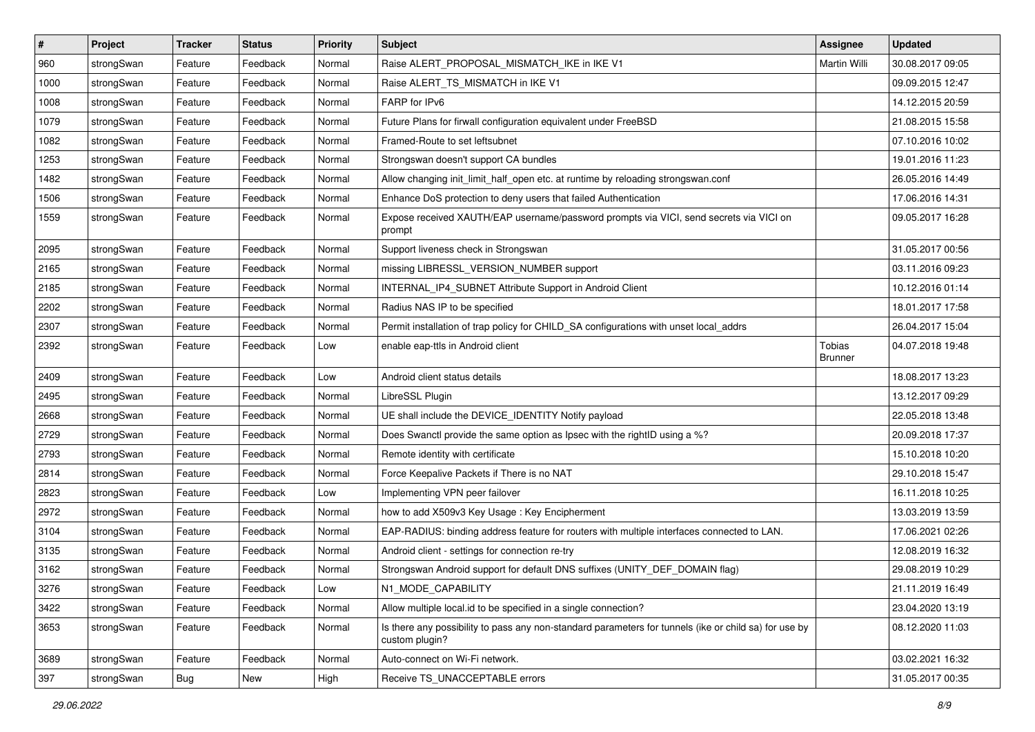| $\pmb{\#}$ | Project    | <b>Tracker</b> | <b>Status</b> | <b>Priority</b> | <b>Subject</b>                                                                                                          | <b>Assignee</b>                 | <b>Updated</b>   |
|------------|------------|----------------|---------------|-----------------|-------------------------------------------------------------------------------------------------------------------------|---------------------------------|------------------|
| 960        | strongSwan | Feature        | Feedback      | Normal          | Raise ALERT_PROPOSAL_MISMATCH_IKE in IKE V1                                                                             | Martin Willi                    | 30.08.2017 09:05 |
| 1000       | strongSwan | Feature        | Feedback      | Normal          | Raise ALERT_TS_MISMATCH in IKE V1                                                                                       |                                 | 09.09.2015 12:47 |
| 1008       | strongSwan | Feature        | Feedback      | Normal          | FARP for IPv6                                                                                                           |                                 | 14.12.2015 20:59 |
| 1079       | strongSwan | Feature        | Feedback      | Normal          | Future Plans for firwall configuration equivalent under FreeBSD                                                         |                                 | 21.08.2015 15:58 |
| 1082       | strongSwan | Feature        | Feedback      | Normal          | Framed-Route to set leftsubnet                                                                                          |                                 | 07.10.2016 10:02 |
| 1253       | strongSwan | Feature        | Feedback      | Normal          | Strongswan doesn't support CA bundles                                                                                   |                                 | 19.01.2016 11:23 |
| 1482       | strongSwan | Feature        | Feedback      | Normal          | Allow changing init_limit_half_open etc. at runtime by reloading strongswan.conf                                        |                                 | 26.05.2016 14:49 |
| 1506       | strongSwan | Feature        | Feedback      | Normal          | Enhance DoS protection to deny users that failed Authentication                                                         |                                 | 17.06.2016 14:31 |
| 1559       | strongSwan | Feature        | Feedback      | Normal          | Expose received XAUTH/EAP username/password prompts via VICI, send secrets via VICI on<br>prompt                        |                                 | 09.05.2017 16:28 |
| 2095       | strongSwan | Feature        | Feedback      | Normal          | Support liveness check in Strongswan                                                                                    |                                 | 31.05.2017 00:56 |
| 2165       | strongSwan | Feature        | Feedback      | Normal          | missing LIBRESSL_VERSION_NUMBER support                                                                                 |                                 | 03.11.2016 09:23 |
| 2185       | strongSwan | Feature        | Feedback      | Normal          | INTERNAL_IP4_SUBNET Attribute Support in Android Client                                                                 |                                 | 10.12.2016 01:14 |
| 2202       | strongSwan | Feature        | Feedback      | Normal          | Radius NAS IP to be specified                                                                                           |                                 | 18.01.2017 17:58 |
| 2307       | strongSwan | Feature        | Feedback      | Normal          | Permit installation of trap policy for CHILD_SA configurations with unset local_addrs                                   |                                 | 26.04.2017 15:04 |
| 2392       | strongSwan | Feature        | Feedback      | Low             | enable eap-ttls in Android client                                                                                       | <b>Tobias</b><br><b>Brunner</b> | 04.07.2018 19:48 |
| 2409       | strongSwan | Feature        | Feedback      | Low             | Android client status details                                                                                           |                                 | 18.08.2017 13:23 |
| 2495       | strongSwan | Feature        | Feedback      | Normal          | LibreSSL Plugin                                                                                                         |                                 | 13.12.2017 09:29 |
| 2668       | strongSwan | Feature        | Feedback      | Normal          | UE shall include the DEVICE_IDENTITY Notify payload                                                                     |                                 | 22.05.2018 13:48 |
| 2729       | strongSwan | Feature        | Feedback      | Normal          | Does Swanctl provide the same option as Ipsec with the rightID using a %?                                               |                                 | 20.09.2018 17:37 |
| 2793       | strongSwan | Feature        | Feedback      | Normal          | Remote identity with certificate                                                                                        |                                 | 15.10.2018 10:20 |
| 2814       | strongSwan | Feature        | Feedback      | Normal          | Force Keepalive Packets if There is no NAT                                                                              |                                 | 29.10.2018 15:47 |
| 2823       | strongSwan | Feature        | Feedback      | Low             | Implementing VPN peer failover                                                                                          |                                 | 16.11.2018 10:25 |
| 2972       | strongSwan | Feature        | Feedback      | Normal          | how to add X509v3 Key Usage: Key Encipherment                                                                           |                                 | 13.03.2019 13:59 |
| 3104       | strongSwan | Feature        | Feedback      | Normal          | EAP-RADIUS: binding address feature for routers with multiple interfaces connected to LAN.                              |                                 | 17.06.2021 02:26 |
| 3135       | strongSwan | Feature        | Feedback      | Normal          | Android client - settings for connection re-try                                                                         |                                 | 12.08.2019 16:32 |
| 3162       | strongSwan | Feature        | Feedback      | Normal          | Strongswan Android support for default DNS suffixes (UNITY_DEF_DOMAIN flag)                                             |                                 | 29.08.2019 10:29 |
| 3276       | strongSwan | Feature        | Feedback      | Low             | N1_MODE_CAPABILITY                                                                                                      |                                 | 21.11.2019 16:49 |
| 3422       | strongSwan | Feature        | Feedback      | Normal          | Allow multiple local.id to be specified in a single connection?                                                         |                                 | 23.04.2020 13:19 |
| 3653       | strongSwan | Feature        | Feedback      | Normal          | Is there any possibility to pass any non-standard parameters for tunnels (ike or child sa) for use by<br>custom plugin? |                                 | 08.12.2020 11:03 |
| 3689       | strongSwan | Feature        | Feedback      | Normal          | Auto-connect on Wi-Fi network.                                                                                          |                                 | 03.02.2021 16:32 |
| 397        | strongSwan | Bug            | New           | High            | Receive TS_UNACCEPTABLE errors                                                                                          |                                 | 31.05.2017 00:35 |